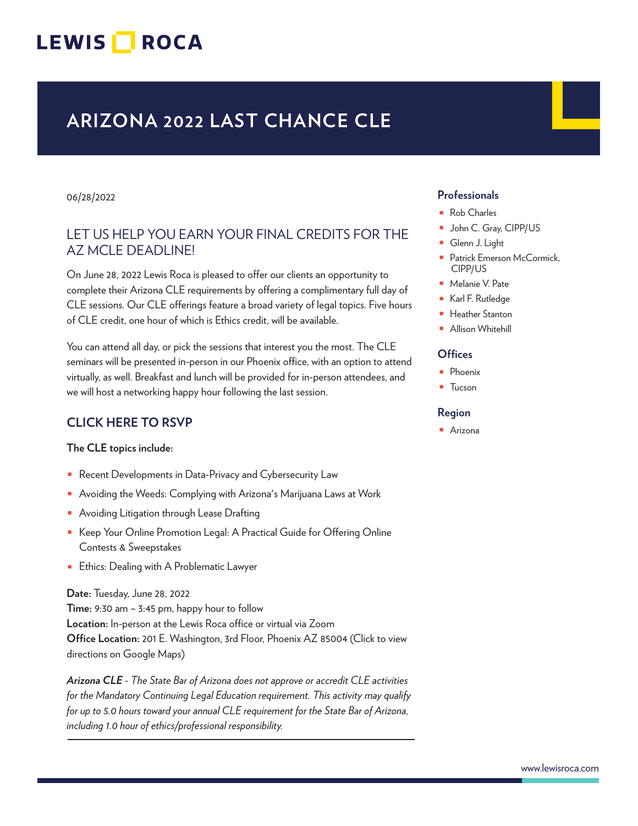## LEWIS **NOCA**

## **ARIZONA 2022 LAST CHANCE CLE**

#### 06/28/2022

### LET US HELP YOU EARN YOUR FINAL CREDITS FOR THE AZ MCLE DEADLINE!

On June 28, 2022 Lewis Roca is pleased to offer our clients an opportunity to complete their Arizona CLE requirements by offering a complimentary full day of CLE sessions. Our CLE offerings feature a broad variety of legal topics. Five hours of CLE credit, one hour of which is Ethics credit, will be available.

You can attend all day, or pick the sessions that interest you the most. The CLE seminars will be presented in-person in our Phoenix office, with an option to attend virtually, as well. Breakfast and lunch will be provided for in-person attendees, and we will host a networking happy hour following the last session.

### **CLICK HERE TO RSVP**

**The CLE topics include:**

- Recent Developments in Data-Privacy and Cybersecurity Law
- Avoiding the Weeds: Complying with Arizona's Marijuana Laws at Work
- Avoiding Litigation through Lease Drafting
- Keep Your Online Promotion Legal: A Practical Guide for Offering Online Contests & Sweepstakes
- Ethics: Dealing with A Problematic Lawyer

**Date:** Tuesday, June 28, 2022

**Time:** 9:30 am – 3:45 pm, happy hour to follow **Location:** In-person at the Lewis Roca office or virtual via Zoom **Office Location:** 201 E. Washington, 3rd Floor, Phoenix AZ 85004 (Click to view directions on Google Maps)

*Arizona CLE - The State Bar of Arizona does not approve or accredit CLE activities for the Mandatory Continuing Legal Education requirement. This activity may qualify for up to 5.0 hours toward your annual CLE requirement for the State Bar of Arizona, including 1.0 hour of ethics/professional responsibility.*  $\overline{a}$ 

#### **Professionals**

- Rob Charles
- John C. Gray, CIPP/US
- Glenn J. Light
- Patrick Emerson McCormick, CIPP/US
- Melanie V. Pate
- Karl F. Rutledge
- Heather Stanton
- Allison Whitehill

#### **Offices**

- Phoenix
- Tucson

#### **Region**

■ Arizona